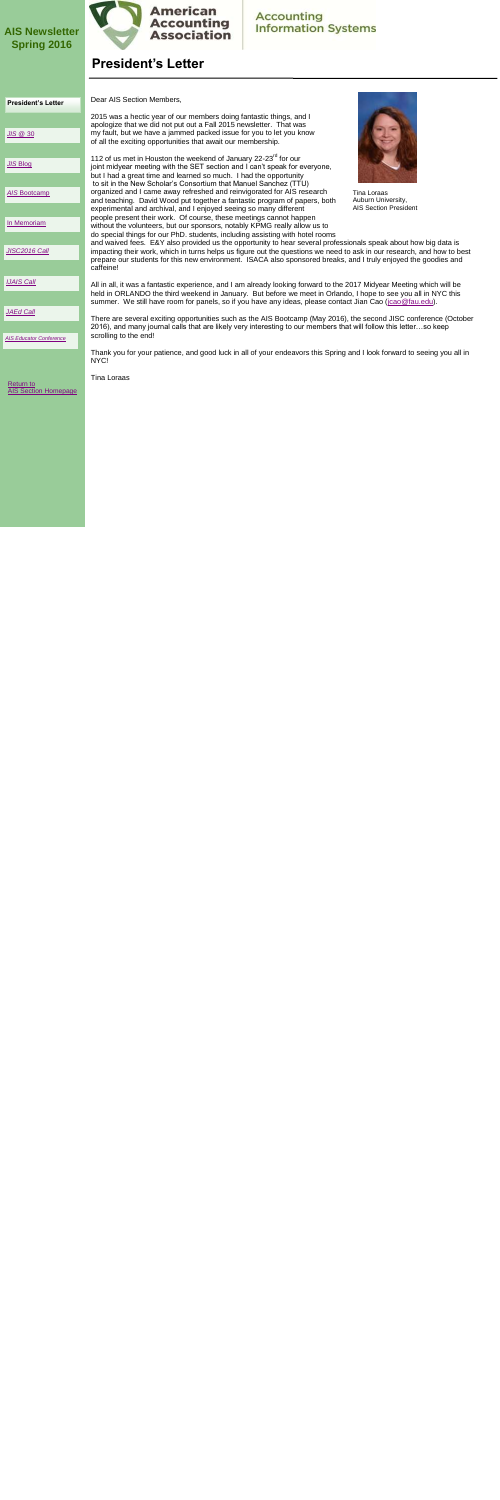# **President's Letter**

[Return to](http://www2.aaahq.org/infosys/index.cfm)  **[AIS Section Homepage](http://www2.aaahq.org/infosys/index.cfm)** 

<span id="page-0-0"></span>



Tina Loraas Auburn University, AIS Section President

Dear AIS Section Members,

2015 was a hectic year of our members doing fantastic things, and I apologize that we did not put out a Fall 2015 newsletter. That was my fault, but we have a jammed packed issue for you to let you know of all the exciting opportunities that await our membership.

112 of us met in Houston the weekend of January 22-23<sup>rd</sup> for our joint midyear meeting with the SET section and I can't speak for everyone, but I had a great time and learned so much. I had the opportunity to sit in the New Scholar's Consortium that Manuel Sanchez (TTU) organized and I came away refreshed and reinvigorated for AIS research and teaching. David Wood put together a fantastic program of papers, both experimental and archival, and I enjoyed seeing so many different people present their work. Of course, these meetings cannot happen without the volunteers, but our sponsors, notably KPMG really allow us to do special things for our PhD. students, including assisting with hotel rooms

All in all, it was a fantastic experience, and I am already looking forward to the 2017 Midyear Meeting which will be held in ORLANDO the third weekend in January. But before we meet in Orlando, I hope to see you all in NYC this summer. We still have room for panels, so if you have any ideas, please contact Jian Cao ([jcao@fau.edu\)](mailto:jcao@fau.edu).

and waived fees. E&Y also provided us the opportunity to hear several professionals speak about how big data is impacting their work, which in turns helps us figure out the questions we need to ask in our research, and how to best prepare our students for this new environment. ISACA also sponsored breaks, and I truly enjoyed the goodies and caffeine!

There are several exciting opportunities such as the AIS Bootcamp (May 2016), the second JISC conference (October 2016), and many journal calls that are likely very interesting to our members that will follow this letter…so keep scrolling to the end!

Thank you for your patience, and good luck in all of your endeavors this Spring and I look forward to seeing you all in NYC!

Tina Loraas

### **AIS Newsletter Spring 2016**



### **Accounting Information Systems**

| <b>President's Letter</b> |  |
|---------------------------|--|
|                           |  |

*JIS* [@ 30](#page-1-0)

*JIS* [Blog](#page-2-0)

*AIS* [Bootcamp](#page-3-0)

[In Memoriam](#page-4-0)

*[JAEd Call](#page-7-0)*

*[JISC2016 Call](#page-5-0)*

*[IJAIS Call](#page-6-0)*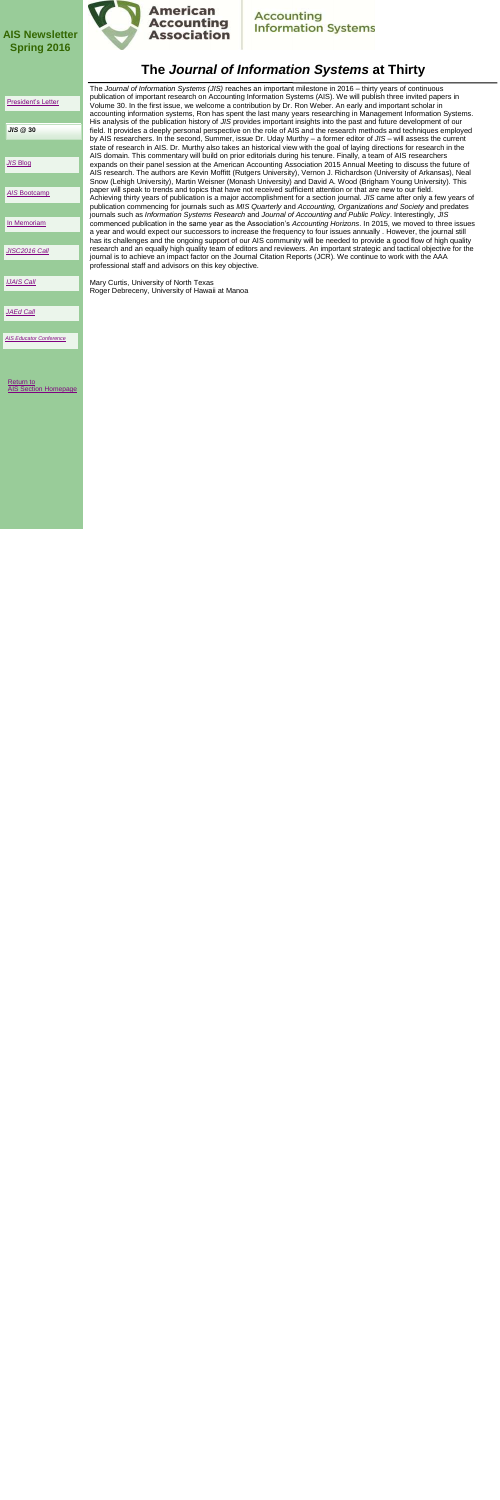# **The** *Journal of Information Systems* **at Thirty**

[Return to](http://www2.aaahq.org/infosys/index.cfm)  [AIS Section Homepage](http://www2.aaahq.org/infosys/index.cfm)

| <b>President's Letter</b> | The Journal of Information Systems (JIS) reaches an important milestone in 2016 – thirty years of continuous<br>publication of important research on Accounting Information Systems (AIS). We will publish three invited papers in<br>Volume 30. In the first issue, we welcome a contribution by Dr. Ron Weber. An early and important scholar in<br>accounting information systems, Ron has spent the last many years researching in Management Information Systems.<br>His analysis of the publication history of JIS provides important insights into the past and future development of our |
|---------------------------|--------------------------------------------------------------------------------------------------------------------------------------------------------------------------------------------------------------------------------------------------------------------------------------------------------------------------------------------------------------------------------------------------------------------------------------------------------------------------------------------------------------------------------------------------------------------------------------------------|
| <b>JIS @ 30</b>           | field. It provides a deeply personal perspective on the role of AIS and the research methods and techniques employed                                                                                                                                                                                                                                                                                                                                                                                                                                                                             |
|                           | by AIS researchers. In the second, Summer, issue Dr. Uday Murthy – a former editor of JIS – will assess the current<br>state of research in AIS. Dr. Murthy also takes an historical view with the goal of laying directions for research in the<br>AIS domain. This commentary will build on prior editorials during his tenure. Finally, a team of AIS researchers                                                                                                                                                                                                                             |
| <b>JIS Blog</b>           | expands on their panel session at the American Accounting Association 2015 Annual Meeting to discuss the future of                                                                                                                                                                                                                                                                                                                                                                                                                                                                               |
|                           | AIS research. The authors are Kevin Moffitt (Rutgers University), Vernon J. Richardson (University of Arkansas), Neal<br>Snow (Lehigh University), Martin Weisner (Monash University) and David A. Wood (Brigham Young University). This                                                                                                                                                                                                                                                                                                                                                         |
| <b>AIS Bootcamp</b>       | paper will speak to trends and topics that have not received sufficient attention or that are new to our field.<br>Achieving thirty years of publication is a major accomplishment for a section journal. JS came after only a few years of                                                                                                                                                                                                                                                                                                                                                      |
|                           | publication commencing for journals such as MIS Quarterly and Accounting, Organizations and Society and predates<br>journals such as Information Systems Research and Journal of Accounting and Public Policy. Interestingly, JIS                                                                                                                                                                                                                                                                                                                                                                |
| In Memoriam               | commenced publication in the same year as the Association's Accounting Horizons. In 2015, we moved to three issues                                                                                                                                                                                                                                                                                                                                                                                                                                                                               |
|                           | a year and would expect our successors to increase the frequency to four issues annually. However, the journal still<br>has its challenges and the ongoing support of our AIS community will be needed to provide a good flow of high quality                                                                                                                                                                                                                                                                                                                                                    |
| JISC2016 Call             | research and an equally high quality team of editors and reviewers. An important strategic and tactical objective for the<br>journal is to achieve an impact factor on the Journal Citation Reports (JCR). We continue to work with the AAA<br>professional staff and advisors on this key objective.                                                                                                                                                                                                                                                                                            |
| <b>IJAIS Call</b>         | Mary Curtis, University of North Texas                                                                                                                                                                                                                                                                                                                                                                                                                                                                                                                                                           |

Mary Curtis, University of North Texas Roger Debreceny, University of Hawaii at Manoa

### **AIS Newsletter Spring 2016**



**Accounting<br>Information Systems** 

*[JAEd Call](#page-7-0)*

<span id="page-1-0"></span>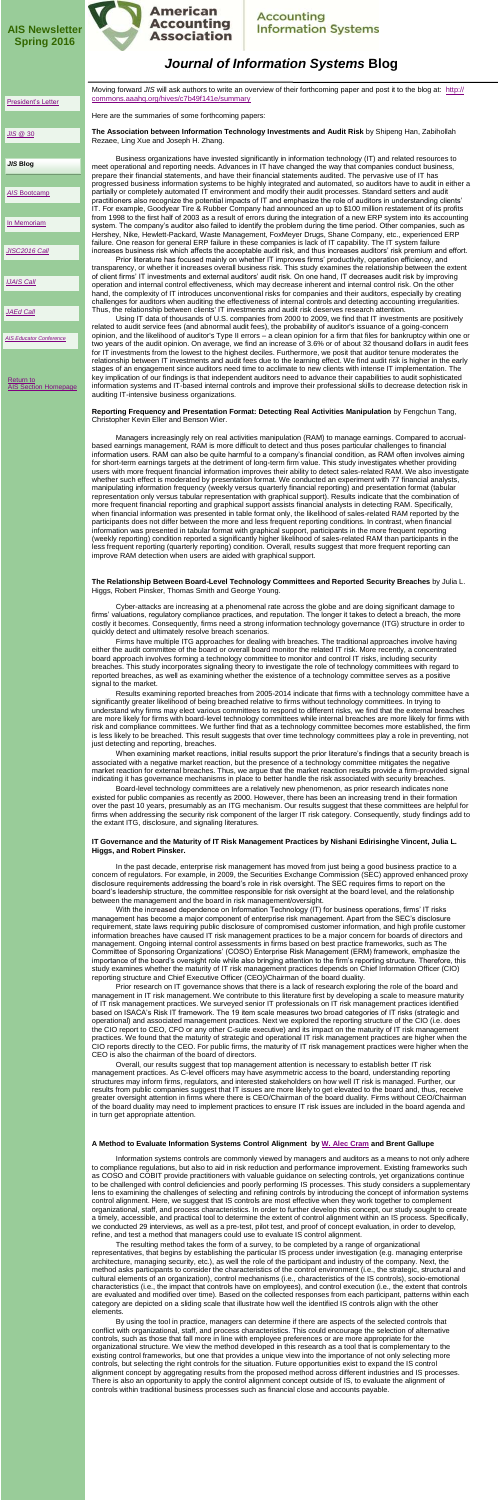# *Journal of Information Systems* **Blog**

Moving forward *JIS* will ask authors to write an overview of their forthcoming paper and post it to the blog at: [http://](http://commons.aaahq.org/hives/c7b49f141e/summary)

[commons.aaahq.org/hives/c7b49f141e/summary](http://commons.aaahq.org/hives/c7b49f141e/summary)

Here are the summaries of some forthcoming papers:

### **Accounting Information Systems**

**The Association between Information Technology Investments and Audit Risk** by Shipeng Han, Zabihollah Rezaee, Ling Xue and Joseph H. Zhang.

Business organizations have invested significantly in information technology (IT) and related resources to meet operational and reporting needs. Advances in IT have changed the way that companies conduct business, prepare their financial statements, and have their financial statements audited. The pervasive use of IT has progressed business information systems to be highly integrated and automated, so auditors have to audit in either a partially or completely automated IT environment and modify their audit processes. Standard setters and audit practitioners also recognize the potential impacts of IT and emphasize the role of auditors in understanding clients' IT. For example, Goodyear Tire & Rubber Company had announced an up to \$100 million restatement of its profits from 1998 to the first half of 2003 as a result of errors during the integration of a new ERP system into its accounting system. The company's auditor also failed to identify the problem during the time period. Other companies, such as Hershey, Nike, Hewlett-Packard, Waste Management, FoxMeyer Drugs, Shane Company, etc., experienced ERP failure. One reason for general ERP failure in these companies is lack of IT capability. The IT system failure increases business risk which affects the acceptable audit risk, and thus increases auditors' risk premium and effort.

Prior literature has focused mainly on whether IT improves firms' productivity, operation efficiency, and transparency, or whether it increases overall business risk. This study examines the relationship between the extent of client firms' IT investments and external auditors' audit risk. On one hand, IT decreases audit risk by improving operation and internal control effectiveness, which may decrease inherent and internal control risk. On the other hand, the complexity of IT introduces unconventional risks for companies and their auditors, especially by creating challenges for auditors when auditing the effectiveness of internal controls and detecting accounting irregularities. Thus, the relationship between clients' IT investments and audit risk deserves research attention.

Using IT data of thousands of U.S. companies from 2000 to 2009, we find that IT investments are positively related to audit service fees (and abnormal audit fees), the probability of auditor's issuance of a going-concern opinion, and the likelihood of auditor's Type II errors – a clean opinion for a firm that files for bankruptcy within one or two years of the audit opinion. On average, we find an increase of 3.6% or of about 32 thousand dollars in audit fees for IT investments from the lowest to the highest deciles. Furthermore, we posit that auditor tenure moderates the relationship between IT investments and audit fees due to the learning effect. We find audit risk is higher in the early stages of an engagement since auditors need time to acclimate to new clients with intense IT implementation. The key implication of our findings is that independent auditors need to advance their capabilities to audit sophisticated information systems and IT-based internal controls and improve their professional skills to decrease detection risk in auditing IT-intensive business organizations.

**Reporting Frequency and Presentation Format: Detecting Real Activities Manipulation** by Fengchun Tang, Christopher Kevin Eller and Benson Wier.

Managers increasingly rely on real activities manipulation (RAM) to manage earnings. Compared to accrualbased earnings management, RAM is more difficult to detect and thus poses particular challenges to financial information users. RAM can also be quite harmful to a company's financial condition, as RAM often involves aiming for short-term earnings targets at the detriment of long-term firm value. This study investigates whether providing users with more frequent financial information improves their ability to detect sales-related RAM. We also investigate whether such effect is moderated by presentation format. We conducted an experiment with 77 financial analysts, manipulating information frequency (weekly versus quarterly financial reporting) and presentation format (tabular representation only versus tabular representation with graphical support). Results indicate that the combination of more frequent financial reporting and graphical support assists financial analysts in detecting RAM. Specifically, when financial information was presented in table format only, the likelihood of sales-related RAM reported by the participants does not differ between the more and less frequent reporting conditions. In contrast, when financial information was presented in tabular format with graphical support, participants in the more frequent reporting (weekly reporting) condition reported a significantly higher likelihood of sales-related RAM than participants in the less frequent reporting (quarterly reporting) condition. Overall, results suggest that more frequent reporting can improve RAM detection when users are aided with graphical support.

With the increased dependence on Information Technology (IT) for business operations, firms' IT risks management has become a major component of enterprise risk management. Apart from the SEC's disclosure requirement, state laws requiring public disclosure of compromised customer information, and high profile customer information breaches have caused IT risk management practices to be a major concern for boards of directors and management. Ongoing internal control assessments in firms based on best practice frameworks, such as The Committee of Sponsoring Organizations' (COSO) Enterprise Risk Management (ERM) framework, emphasize the importance of the board's oversight role while also bringing attention to the firm's reporting structure. Therefore, this study examines whether the maturity of IT risk management practices depends on Chief Information Officer (CIO) reporting structure and Chief Executive Officer (CEO)/Chairman of the board duality.

**The Relationship Between Board-Level Technology Committees and Reported Security Breaches** by Julia L. Higgs, Robert Pinsker, Thomas Smith and George Young.

Cyber-attacks are increasing at a phenomenal rate across the globe and are doing significant damage to firms' valuations, regulatory compliance practices, and reputation. The longer it takes to detect a breach, the more costly it becomes. Consequently, firms need a strong information technology governance (ITG) structure in order to quickly detect and ultimately resolve breach scenarios.

Firms have multiple ITG approaches for dealing with breaches. The traditional approaches involve having either the audit committee of the board or overall board monitor the related IT risk. More recently, a concentrated board approach involves forming a technology committee to monitor and control IT risks, including security breaches. This study incorporates signaling theory to investigate the role of technology committees with regard to reported breaches, as well as examining whether the existence of a technology committee serves as a positive signal to the market.

Results examining reported breaches from 2005-2014 indicate that firms with a technology committee have a significantly greater likelihood of being breached relative to firms without technology committees. In trying to understand why firms may elect various committees to respond to different risks, we find that the external breaches are more likely for firms with board-level technology committees while internal breaches are more likely for firms with risk and compliance committees. We further find that as a technology committee becomes more established, the firm is less likely to be breached. This result suggests that over time technology committees play a role in preventing, not just detecting and reporting, breaches.

**Return to** [AIS Section Homepage](http://www2.aaahq.org/infosys/index.cfm)

> When examining market reactions, initial results support the prior literature's findings that a security breach is associated with a negative market reaction, but the presence of a technology committee mitigates the negative market reaction for external breaches. Thus, we argue that the market reaction results provide a firm-provided signal indicating it has governance mechanisms in place to better handle the risk associated with security breaches.

> Board-level technology committees are a relatively new phenomenon, as prior research indicates none existed for public companies as recently as 2000. However, there has been an increasing trend in their formation over the past 10 years, presumably as an ITG mechanism. Our results suggest that these committees are helpful for firms when addressing the security risk component of the larger IT risk category. Consequently, study findings add to the extant ITG, disclosure, and signaling literatures.

#### **IT Governance and the Maturity of IT Risk Management Practices by Nishani Edirisinghe Vincent, Julia L. Higgs, and Robert Pinsker.**

In the past decade, enterprise risk management has moved from just being a good business practice to a concern of regulators. For example, in 2009, the Securities Exchange Commission (SEC) approved enhanced proxy disclosure requirements addressing the board's role in risk oversight. The SEC requires firms to report on the board's leadership structure, the committee responsible for risk oversight at the board level, and the relationship between the management and the board in risk management/oversight.

<span id="page-2-0"></span>Prior research on IT governance shows that there is a lack of research exploring the role of the board and management in IT risk management. We contribute to this literature first by developing a scale to measure maturity of IT risk management practices. We surveyed senior IT professionals on IT risk management practices identified based on ISACA's Risk IT framework. The 19 item scale measures two broad categories of IT risks (strategic and operational) and associated management practices. Next we explored the reporting structure of the CIO (i.e. does the CIO report to CEO, CFO or any other C-suite executive) and its impact on the maturity of IT risk management practices. We found that the maturity of strategic and operational IT risk management practices are higher when the CIO reports directly to the CEO. For public firms, the maturity of IT risk management practices were higher when the CEO is also the chairman of the board of directors.

Overall, our results suggest that top management attention is necessary to establish better IT risk management practices. As C-level officers may have asymmetric access to the board, understanding reporting structures may inform firms, regulators, and interested stakeholders on how well IT risk is managed. Further, our results from public companies suggest that IT issues are more likely to get elevated to the board and, thus, receive greater oversight attention in firms where there is CEO/Chairman of the board duality. Firms without CEO/Chairman of the board duality may need to implement practices to ensure IT risk issues are included in the board agenda and in turn get appropriate attention.

#### **A Method to Evaluate Information Systems Control Alignment by [W. Alec Cram](https://faculty.bentley.edu/details.asp?uname=wcram) and Brent Gallupe**

Information systems controls are commonly viewed by managers and auditors as a means to not only adhere to compliance regulations, but also to aid in risk reduction and performance improvement. Existing frameworks such as COSO and COBIT provide practitioners with valuable guidance on selecting controls, yet organizations continue to be challenged with control deficiencies and poorly performing IS processes. This study considers a supplementary lens to examining the challenges of selecting and refining controls by introducing the concept of information systems control alignment. Here, we suggest that IS controls are most effective when they work together to complement organizational, staff, and process characteristics. In order to further develop this concept, our study sought to create a timely, accessible, and practical tool to determine the extent of control alignment within an IS process. Specifically, we conducted 29 interviews, as well as a pre-test, pilot test, and proof of concept evaluation, in order to develop, refine, and test a method that managers could use to evaluate IS control alignment. The resulting method takes the form of a survey, to be completed by a range of organizational representatives, that begins by establishing the particular IS process under investigation (e.g. managing enterprise architecture, managing security, etc.), as well the role of the participant and industry of the company. Next, the method asks participants to consider the characteristics of the control environment (i.e., the strategic, structural and cultural elements of an organization), control mechanisms (i.e., characteristics of the IS controls), socio-emotional characteristics (i.e., the impact that controls have on employees), and control execution (i.e., the extent that controls are evaluated and modified over time). Based on the collected responses from each participant, patterns within each category are depicted on a sliding scale that illustrate how well the identified IS controls align with the other elements. By using the tool in practice, managers can determine if there are aspects of the selected controls that conflict with organizational, staff, and process characteristics. This could encourage the selection of alternative controls, such as those that fall more in line with employee preferences or are more appropriate for the organizational structure. We view the method developed in this research as a tool that is complementary to the existing control frameworks, but one that provides a unique view into the importance of not only selecting more controls, but selecting the right controls for the situation. Future opportunities exist to expand the IS control alignment concept by aggregating results from the proposed method across different industries and IS processes. There is also an opportunity to apply the control alignment concept outside of IS, to evaluate the alignment of controls within traditional business processes such as financial close and accounts payable.

## **AIS Newsletter Spring 2016**



#### *JIS* **Blog**

[President's Letter](#page-0-0)

*JIS* [@ 30](#page-1-0)

*AIS* [Bootcamp](#page-3-0)

**[In Memoriam](#page-4-0)** 

*[JISC2016 Call](#page-5-0)*

*[IJAIS Call](#page-6-0)*

*[JAEd Call](#page-7-0)*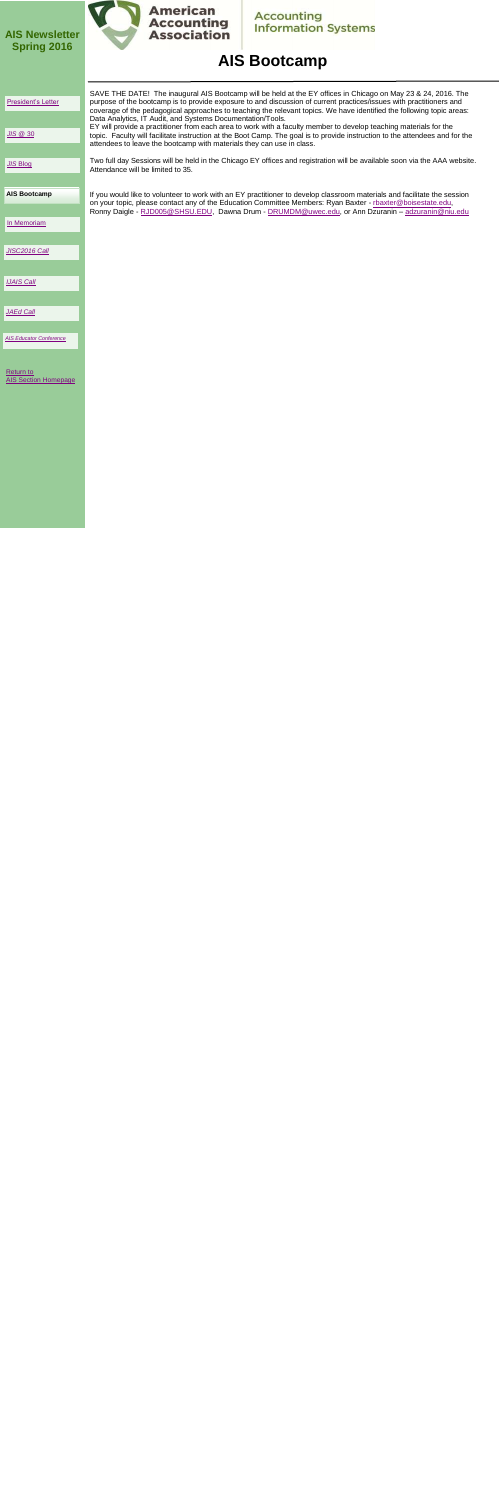# **AIS Bootcamp**

| President's Letter                       | SAVE THE DATE! The inaugural AIS Bootcamp will be held at the EY offices in Chicago on May 23 & 24, 2016. The<br>purpose of the bootcamp is to provide exposure to and discussion of current practices/issues with practitioners and<br>coverage of the pedagogical approaches to teaching the relevant topics. We have identified the following topic areas: |
|------------------------------------------|---------------------------------------------------------------------------------------------------------------------------------------------------------------------------------------------------------------------------------------------------------------------------------------------------------------------------------------------------------------|
|                                          | Data Analytics, IT Audit, and Systems Documentation/Tools.<br>EY will provide a practitioner from each area to work with a faculty member to develop teaching materials for the                                                                                                                                                                               |
| JIS @ 30                                 | topic. Faculty will facilitate instruction at the Boot Camp. The goal is to provide instruction to the attendees and for the<br>attendees to leave the bootcamp with materials they can use in class.                                                                                                                                                         |
| <b>JIS Blog</b>                          | Two full day Sessions will be held in the Chicago EY offices and registration will be available soon via the AAA website.<br>Attendance will be limited to 35.                                                                                                                                                                                                |
|                                          |                                                                                                                                                                                                                                                                                                                                                               |
| <b>AIS Bootcamp</b>                      | If you would like to volunteer to work with an EY practitioner to develop classroom materials and facilitate the session<br>on your topic, please contact any of the Education Committee Members: Ryan Baxter - rbaxter@boisestate.edu,                                                                                                                       |
| In Memoriam                              | Ronny Daigle - RJD005@SHSU.EDU, Dawna Drum - DRUMDM@uwec.edu, or Ann Dzuranin - adzuranin@niu.edu                                                                                                                                                                                                                                                             |
|                                          |                                                                                                                                                                                                                                                                                                                                                               |
|                                          |                                                                                                                                                                                                                                                                                                                                                               |
| JISC2016 Call                            |                                                                                                                                                                                                                                                                                                                                                               |
|                                          |                                                                                                                                                                                                                                                                                                                                                               |
| <b>IJAIS Call</b>                        |                                                                                                                                                                                                                                                                                                                                                               |
|                                          |                                                                                                                                                                                                                                                                                                                                                               |
| <b>JAEd Call</b>                         |                                                                                                                                                                                                                                                                                                                                                               |
|                                          |                                                                                                                                                                                                                                                                                                                                                               |
| <b>AIS Educator Conference</b>           |                                                                                                                                                                                                                                                                                                                                                               |
|                                          |                                                                                                                                                                                                                                                                                                                                                               |
|                                          |                                                                                                                                                                                                                                                                                                                                                               |
| Return to<br><b>AIS Section Homepage</b> |                                                                                                                                                                                                                                                                                                                                                               |
|                                          |                                                                                                                                                                                                                                                                                                                                                               |
|                                          |                                                                                                                                                                                                                                                                                                                                                               |
|                                          |                                                                                                                                                                                                                                                                                                                                                               |
|                                          |                                                                                                                                                                                                                                                                                                                                                               |

<span id="page-3-0"></span>





# **Accounting<br>Information Systems**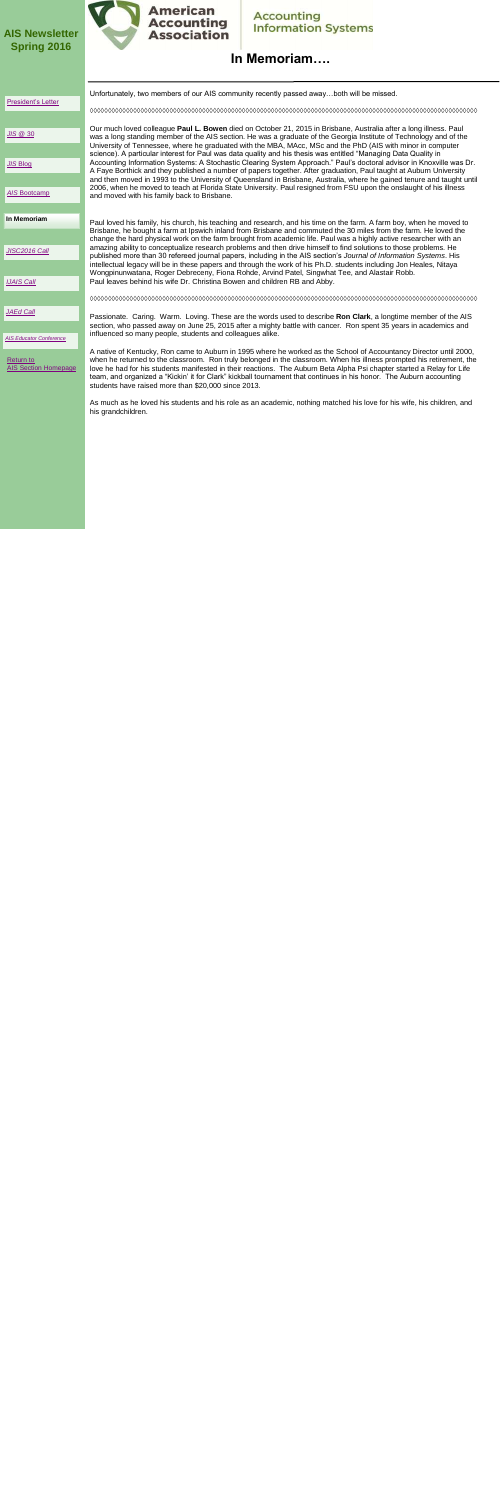# **In Memoriam….**

|                                                 | Unfortunately, two members of our AIS community recently passed awayboth will be missed.                                                                                                                                                                                                                                                                                                                                                                                                                                                                                             |  |
|-------------------------------------------------|--------------------------------------------------------------------------------------------------------------------------------------------------------------------------------------------------------------------------------------------------------------------------------------------------------------------------------------------------------------------------------------------------------------------------------------------------------------------------------------------------------------------------------------------------------------------------------------|--|
| <b>President's Letter</b>                       |                                                                                                                                                                                                                                                                                                                                                                                                                                                                                                                                                                                      |  |
| <b>JIS @ 30</b>                                 | Our much loved colleague Paul L. Bowen died on October 21, 2015 in Brisbane, Australia after a long illness. Paul<br>was a long standing member of the AIS section. He was a graduate of the Georgia Institute of Technology and of the<br>University of Tennessee, where he graduated with the MBA, MAcc, MSc and the PhD (AIS with minor in computer<br>science). A particular interest for Paul was data quality and his thesis was entitled "Managing Data Quality in                                                                                                            |  |
| <b>JIS Blog</b>                                 | Accounting Information Systems: A Stochastic Clearing System Approach." Paul's doctoral advisor in Knoxville was Dr.<br>A Faye Borthick and they published a number of papers together. After graduation, Paul taught at Auburn University                                                                                                                                                                                                                                                                                                                                           |  |
| <b>AIS Bootcamp</b>                             | and then moved in 1993 to the University of Queensland in Brisbane, Australia, where he gained tenure and taught until<br>2006, when he moved to teach at Florida State University. Paul resigned from FSU upon the onslaught of his illness<br>and moved with his family back to Brisbane.                                                                                                                                                                                                                                                                                          |  |
| In Memoriam                                     | Paul loved his family, his church, his teaching and research, and his time on the farm. A farm boy, when he moved to<br>Brisbane, he bought a farm at Ipswich inland from Brisbane and commuted the 30 miles from the farm. He loved the                                                                                                                                                                                                                                                                                                                                             |  |
| JISC2016 Call                                   | change the hard physical work on the farm brought from academic life. Paul was a highly active researcher with an<br>amazing ability to conceptualize research problems and then drive himself to find solutions to those problems. He<br>published more than 30 refereed journal papers, including in the AIS section's Journal of Information Systems. His<br>intellectual legacy will be in these papers and through the work of his Ph.D. students including Jon Heales, Nitaya<br>Wongpinunwatana, Roger Debreceny, Fiona Rohde, Arvind Patel, Singwhat Tee, and Alastair Robb. |  |
| <b>IJAIS Call</b>                               | Paul leaves behind his wife Dr. Christina Bowen and children RB and Abby.                                                                                                                                                                                                                                                                                                                                                                                                                                                                                                            |  |
|                                                 |                                                                                                                                                                                                                                                                                                                                                                                                                                                                                                                                                                                      |  |
| <b>JAEd Call</b>                                | Passionate. Caring. Warm. Loving. These are the words used to describe Ron Clark, a longtime member of the AIS<br>section, who passed away on June 25, 2015 after a mighty battle with cancer. Ron spent 35 years in academics and                                                                                                                                                                                                                                                                                                                                                   |  |
| <b>AIS Educator Conference</b>                  | influenced so many people, students and colleagues alike.                                                                                                                                                                                                                                                                                                                                                                                                                                                                                                                            |  |
| <b>Return to</b><br><b>AIS Section Homepage</b> | A native of Kentucky, Ron came to Auburn in 1995 where he worked as the School of Accountancy Director until 2000,<br>when he returned to the classroom. Ron truly belonged in the classroom. When his illness prompted his retirement, the<br>love he had for his students manifested in their reactions. The Auburn Beta Alpha Psi chapter started a Relay for Life<br>team, and organized a "Kickin' it for Clark" kickball tournament that continues in his honor. The Auburn accounting<br>students have raised more than \$20,000 since 2013.                                  |  |

As much as he loved his students and his role as an academic, nothing matched his love for his wife, his children, and his grandchildren.

<span id="page-4-0"></span>

### **AIS Newsletter Spring 2016**



# **Accounting<br>Information Systems**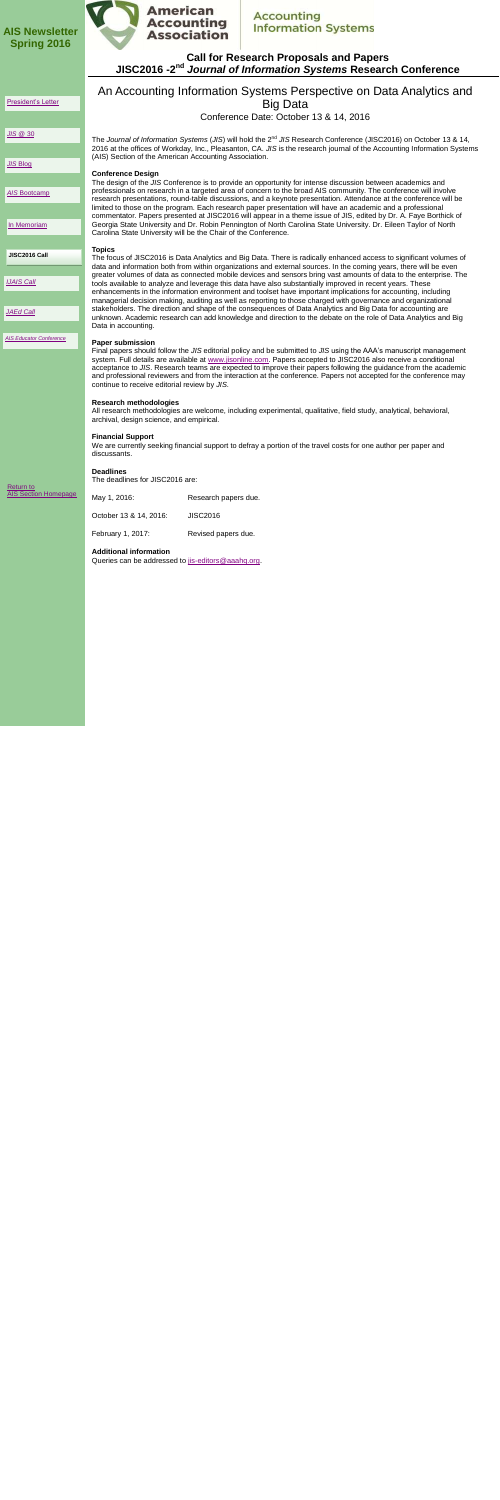# An Accounting Information Systems Perspective on Data Analytics and Big Data

Conference Date: October 13 & 14, 2016

# The *Journal of Information Systems* (*JIS*) will hold the 2nd *JIS* Research Conference (JISC2016) on October 13 & 14, 2016 at the offices of Workday, Inc., Pleasanton, CA. *JIS* is the research journal of the Accounting Information Systems

(AIS) Section of the American Accounting Association.

### **Accounting Information Systems**

### **Call for Research Proposals and Papers JISC2016 -2<sup>nd</sup> Journal of Information Systems Research Conference**

### **Conference Design**

The design of the *JIS* Conference is to provide an opportunity for intense discussion between academics and professionals on research in a targeted area of concern to the broad AIS community. The conference will involve research presentations, round-table discussions, and a keynote presentation. Attendance at the conference will be limited to those on the program. Each research paper presentation will have an academic and a professional commentator. Papers presented at JISC2016 will appear in a theme issue of JIS, edited by Dr. A. Faye Borthick of Georgia State University and Dr. Robin Pennington of North Carolina State University. Dr. Eileen Taylor of North Carolina State University will be the Chair of the Conference.

#### **Topics**

The focus of JISC2016 is Data Analytics and Big Data. There is radically enhanced access to significant volumes of data and information both from within organizations and external sources. In the coming years, there will be even greater volumes of data as connected mobile devices and sensors bring vast amounts of data to the enterprise. The tools available to analyze and leverage this data have also substantially improved in recent years. These enhancements in the information environment and toolset have important implications for accounting, including managerial decision making, auditing as well as reporting to those charged with governance and organizational stakeholders. The direction and shape of the consequences of Data Analytics and Big Data for accounting are unknown. Academic research can add knowledge and direction to the debate on the role of Data Analytics and Big Data in accounting.

#### **Paper submission**

Final papers should follow the *JIS* editorial policy and be submitted to *JIS* using the AAA's manuscript management system. Full details are available at [www.jisonline.com.](http://www.jisonline.com/) Papers accepted to JISC2016 also receive a conditional acceptance to *JIS*. Research teams are expected to improve their papers following the guidance from the academic and professional reviewers and from the interaction at the conference. Papers not accepted for the conference may continue to receive editorial review by *JIS*.

#### **Research methodologies**

All research methodologies are welcome, including experimental, qualitative, field study, analytical, behavioral, archival, design science, and empirical.

#### **Financial Support**

We are currently seeking financial support to defray a portion of the travel costs for one author per paper and discussants.

### **Deadlines**

The deadlines for JISC2016 are:

| May 1, 2016: | Research papers due. |
|--------------|----------------------|
|              |                      |

October 13 & 14, 2016: JISC2016

February 1, 2017: Revised papers due.

#### **Additional information**

Queries can be addressed to [jis-editors@aaahq.org.](mailto:jis-editors@aaahq.org)



<span id="page-5-0"></span>

[AIS Section Homepage](http://www2.aaahq.org/infosys/index.cfm)

**AIS Newsletter Spring 2016**



**JISC2016 Call**

[President's Letter](#page-0-0)

*JIS* [@ 30](#page-1-0)

*JIS* [Blog](#page-2-0)

*AIS* [Bootcamp](#page-3-0)

[In Memoriam](#page-4-0)

*[IJAIS Call](#page-6-0)*

*[JAEd Call](#page-7-0)*

Return to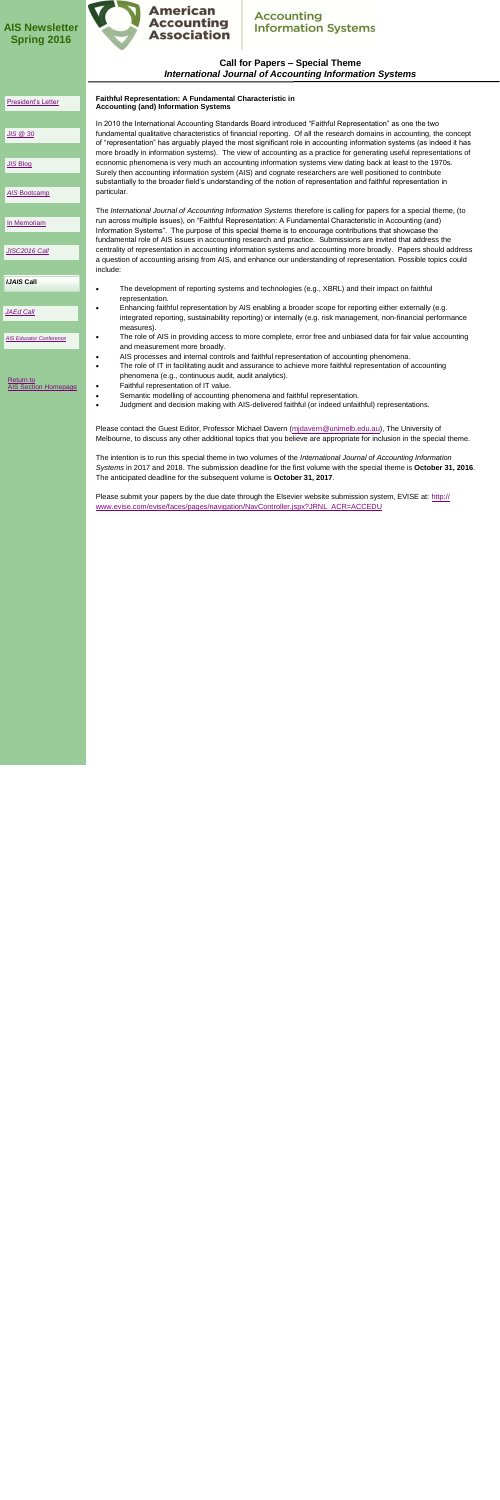### **Call for Papers – Special Theme** *International Journal of Accounting Information Systems*

[Return to](http://www2.aaahq.org/infosys/index.cfm)  [AIS Section Homepage](http://www2.aaahq.org/infosys/index.cfm)

## **AIS Newsletter Spring 2016**



## **Accounting Information Systems**

*IJAIS* **Call**

*JIS* [@ 30](#page-1-0)

### [President's Letter](#page-0-0)

*JIS* [Blog](#page-2-0)

*AIS* [Bootcamp](#page-3-0)

[In Memoriam](#page-4-0)

*[JISC2016 Call](#page-5-0)*

*[JAEd Call](#page-7-0)*

*[AIS Educator Conference](#page-8-0)*

### **Faithful Representation: A Fundamental Characteristic in Accounting (and) Information Systems**

In 2010 the International Accounting Standards Board introduced "Faithful Representation" as one the two fundamental qualitative characteristics of financial reporting. Of all the research domains in accounting, the concept of "representation" has arguably played the most significant role in accounting information systems (as indeed it has more broadly in information systems). The view of accounting as a practice for generating useful representations of economic phenomena is very much an accounting information systems view dating back at least to the 1970s. Surely then accounting information system (AIS) and cognate researchers are well positioned to contribute substantially to the broader field's understanding of the notion of representation and faithful representation in particular.

Please contact the Guest Editor, Professor Michael Davern (midavern@unimelb.edu.au), The University of Melbourne, to discuss any other additional topics that you believe are appropriate for inclusion in the special theme.

The *International Journal of Accounting Information Systems* therefore is calling for papers for a special theme, (to run across multiple issues), on "Faithful Representation: A Fundamental Characteristic in Accounting (and) Information Systems". The purpose of this special theme is to encourage contributions that showcase the fundamental role of AIS issues in accounting research and practice. Submissions are invited that address the centrality of representation in accounting information systems and accounting more broadly. Papers should address a question of accounting arising from AIS, and enhance our understanding of representation. Possible topics could include:

Please submit your papers by the due date through the Elsevier website submission system, EVISE at: [http://](http://www.evise.com/evise/faces/pages/navigation/NavController.jspx?JRNL_ACR=ACCEDU) [www.evise.com/evise/faces/pages/navigation/NavController.jspx?JRNL\\_ACR=ACCEDU](http://www.evise.com/evise/faces/pages/navigation/NavController.jspx?JRNL_ACR=ACCEDU)



<span id="page-6-0"></span>

- The development of reporting systems and technologies (e.g., XBRL) and their impact on faithful representation.
- Enhancing faithful representation by AIS enabling a broader scope for reporting either externally (e.g. integrated reporting, sustainability reporting) or internally (e.g. risk management, non-financial performance measures).
- The role of AIS in providing access to more complete, error free and unbiased data for fair value accounting and measurement more broadly.
- AIS processes and internal controls and faithful representation of accounting phenomena.
- The role of IT in facilitating audit and assurance to achieve more faithful representation of accounting phenomena (e.g., continuous audit, audit analytics).
- Faithful representation of IT value.
- Semantic modelling of accounting phenomena and faithful representation.
- Judgment and decision making with AIS-delivered faithful (or indeed unfaithful) representations.

The intention is to run this special theme in two volumes of the *International Journal of Accounting Information Systems* in 2017 and 2018. The submission deadline for the first volume with the special theme is **October 31, 2016**. The anticipated deadline for the subsequent volume is **October 31, 2017**.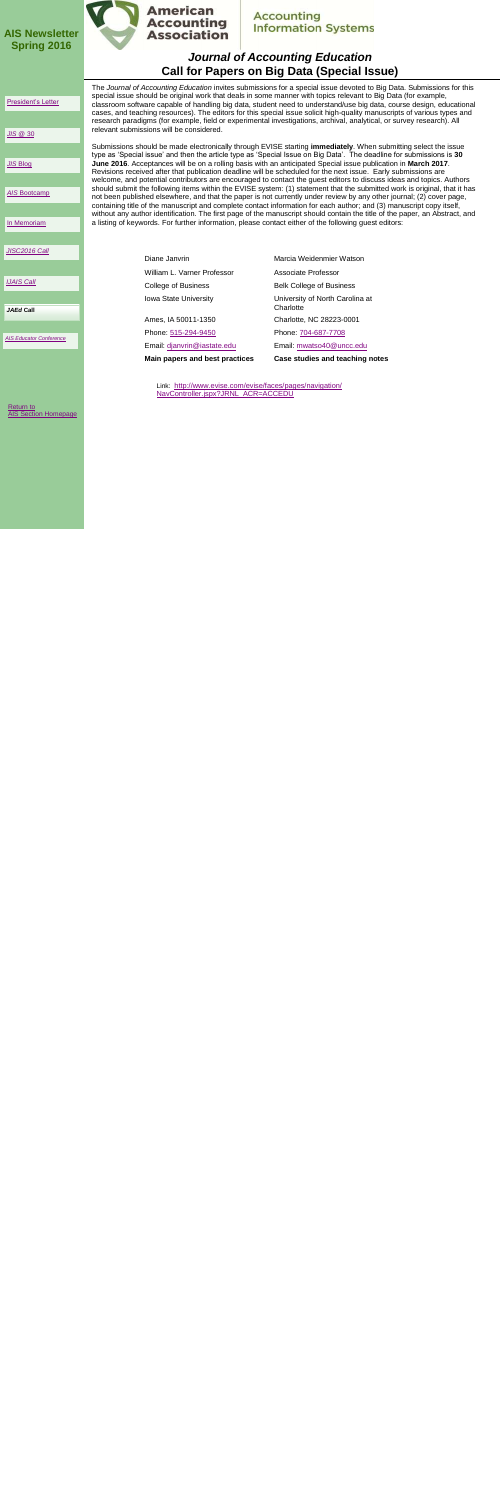## *Journal of Accounting Education* **Call for Papers on Big Data (Special Issue)**

[Return to](http://www2.aaahq.org/infosys/index.cfm)  [AIS Section Homepage](http://www2.aaahq.org/infosys/index.cfm)

The *Journal of Accounting Education* invites submissions for a special issue devoted to Big Data. Submissions for this special issue should be original work that deals in some manner with topics relevant to Big Data (for example, classroom software capable of handling big data, student need to understand/use big data, course design, educational cases, and teaching resources). The editors for this special issue solicit high-quality manuscripts of various types and research paradigms (for example, field or experimental investigations, archival, analytical, or survey research). All relevant submissions will be considered.

Submissions should be made electronically through EVISE starting **immediately**. When submitting select the issue type as 'Special issue' and then the article type as 'Special Issue on Big Data'. The deadline for submissions is **30 June 2016**. Acceptances will be on a rolling basis with an anticipated Special issue publication in **March 2017**. Revisions received after that publication deadline will be scheduled for the next issue. Early submissions are welcome, and potential contributors are encouraged to contact the guest editors to discuss ideas and topics. Authors should submit the following items within the EVISE system: (1) statement that the submitted work is original, that it has not been published elsewhere, and that the paper is not currently under review by any other journal; (2) cover page, containing title of the manuscript and complete contact information for each author; and (3) manuscript copy itself, without any author identification. The first page of the manuscript should contain the title of the paper, an Abstract, and a listing of keywords. For further information, please contact either of the following guest editors:

**AIS Newsletter Spring 2016**

| Main papers and best practices | Case studies and teaching notes              |
|--------------------------------|----------------------------------------------|
| Email: djanvrin@iastate.edu    | Email: mwatso40@uncc.edu                     |
| Phone: 515-294-9450            | Phone: 704-687-7708                          |
| Ames, IA 50011-1350            | Charlotte, NC 28223-0001                     |
| <b>Iowa State University</b>   | University of North Carolina at<br>Charlotte |
| <b>College of Business</b>     | <b>Belk College of Business</b>              |
| William L. Varner Professor    | Associate Professor                          |
| Diane Janvrin                  | Marcia Weidenmier Watson                     |

*JAEd* **Call**

[President's Letter](#page-0-0)

*JIS* [@ 30](#page-1-0)

*JIS* [Blog](#page-2-0)

*AIS* [Bootcamp](#page-3-0)

[In Memoriam](#page-4-0)

*[JISC2016 Call](#page-5-0)*



# **Accounting<br>Information Systems**

*[IJAIS Call](#page-6-0)*

<span id="page-7-0"></span>

*[AIS Educator Conference](#page-8-0)* 

Link: [http://www.evise.com/evise/faces/pages/navigation/](http://www.evise.com/evise/faces/pages/navigation/NavController.jspx?JRNL_ACR=ACCEDU) [NavController.jspx?JRNL\\_ACR=ACCEDU](http://www.evise.com/evise/faces/pages/navigation/NavController.jspx?JRNL_ACR=ACCEDU)